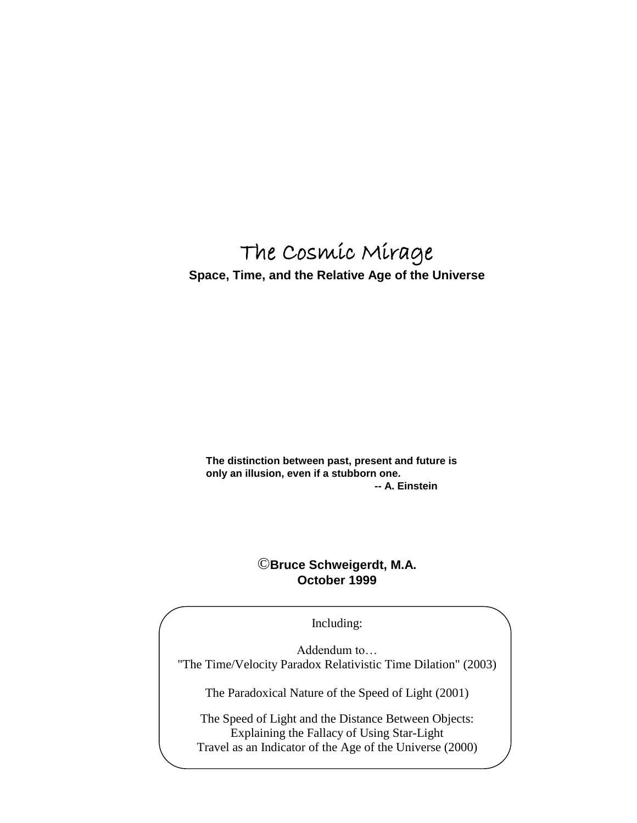# The Cosmic Mirage

**Space, Time, and the Relative Age of the Universe**

**The distinction between past, present and future is only an illusion, even if a stubborn one. -- A. Einstein**

# ©**Bruce Schweigerdt, M.A. October 1999**

Including:

Addendum to… "The Time/Velocity Paradox Relativistic Time Dilation" (2003)

The Paradoxical Nature of the Speed of Light (2001)

The Speed of Light and the Distance Between Objects: Explaining the Fallacy of Using Star-Light Travel as an Indicator of the Age of the Universe (2000)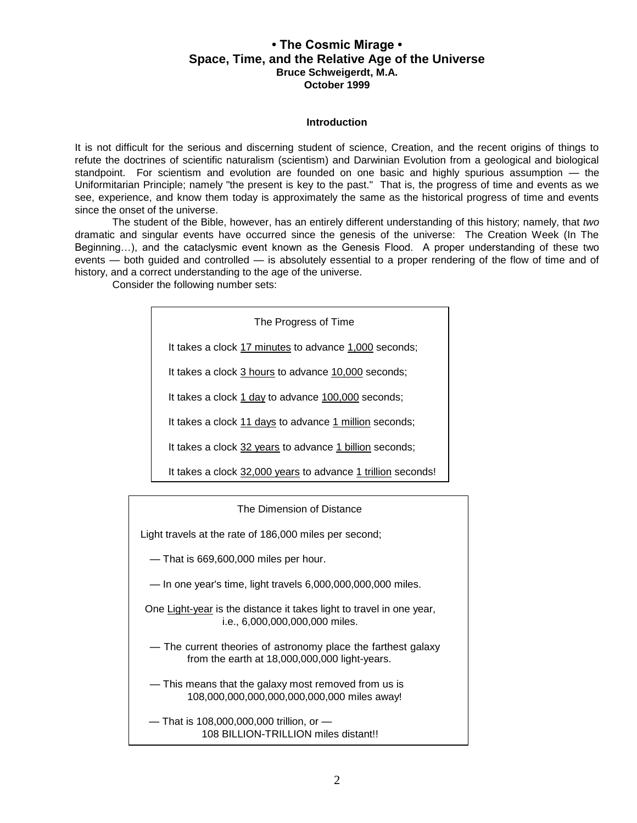## **• The Cosmic Mirage • Space, Time, and the Relative Age of the Universe Bruce Schweigerdt, M.A. October 1999**

#### **Introduction**

It is not difficult for the serious and discerning student of science, Creation, and the recent origins of things to refute the doctrines of scientific naturalism (scientism) and Darwinian Evolution from a geological and biological standpoint. For scientism and evolution are founded on one basic and highly spurious assumption — the Uniformitarian Principle; namely "the present is key to the past." That is, the progress of time and events as we see, experience, and know them today is approximately the same as the historical progress of time and events since the onset of the universe.

The student of the Bible, however, has an entirely different understanding of this history; namely, that *two* dramatic and singular events have occurred since the genesis of the universe: The Creation Week (In The Beginning…), and the cataclysmic event known as the Genesis Flood. A proper understanding of these two events — both guided and controlled — is absolutely essential to a proper rendering of the flow of time and of history, and a correct understanding to the age of the universe.

Consider the following number sets:

| The Progress of Time<br>It takes a clock 17 minutes to advance 1,000 seconds;<br>It takes a clock 3 hours to advance 10,000 seconds;<br>It takes a clock 1 day to advance 100,000 seconds;<br>It takes a clock 11 days to advance 1 million seconds;<br>It takes a clock 32 years to advance 1 billion seconds;<br>It takes a clock 32,000 years to advance 1 trillion seconds!<br>The Dimension of Distance<br>Light travels at the rate of 186,000 miles per second;<br>-That is 669,600,000 miles per hour. |  |  |  |  |  |  |  |  |
|----------------------------------------------------------------------------------------------------------------------------------------------------------------------------------------------------------------------------------------------------------------------------------------------------------------------------------------------------------------------------------------------------------------------------------------------------------------------------------------------------------------|--|--|--|--|--|--|--|--|
|                                                                                                                                                                                                                                                                                                                                                                                                                                                                                                                |  |  |  |  |  |  |  |  |
|                                                                                                                                                                                                                                                                                                                                                                                                                                                                                                                |  |  |  |  |  |  |  |  |
|                                                                                                                                                                                                                                                                                                                                                                                                                                                                                                                |  |  |  |  |  |  |  |  |
|                                                                                                                                                                                                                                                                                                                                                                                                                                                                                                                |  |  |  |  |  |  |  |  |
|                                                                                                                                                                                                                                                                                                                                                                                                                                                                                                                |  |  |  |  |  |  |  |  |
|                                                                                                                                                                                                                                                                                                                                                                                                                                                                                                                |  |  |  |  |  |  |  |  |
|                                                                                                                                                                                                                                                                                                                                                                                                                                                                                                                |  |  |  |  |  |  |  |  |
|                                                                                                                                                                                                                                                                                                                                                                                                                                                                                                                |  |  |  |  |  |  |  |  |
|                                                                                                                                                                                                                                                                                                                                                                                                                                                                                                                |  |  |  |  |  |  |  |  |
|                                                                                                                                                                                                                                                                                                                                                                                                                                                                                                                |  |  |  |  |  |  |  |  |
|                                                                                                                                                                                                                                                                                                                                                                                                                                                                                                                |  |  |  |  |  |  |  |  |

— In one year's time, light travels 6,000,000,000,000 miles.

One Light-year is the distance it takes light to travel in one year, i.e., 6,000,000,000,000 miles.

— The current theories of astronomy place the farthest galaxy from the earth at 18,000,000,000 light-years.

— This means that the galaxy most removed from us is 108,000,000,000,000,000,000,000 miles away!

 — That is 108,000,000,000 trillion, or — 108 BILLION-TRILLION miles distant!!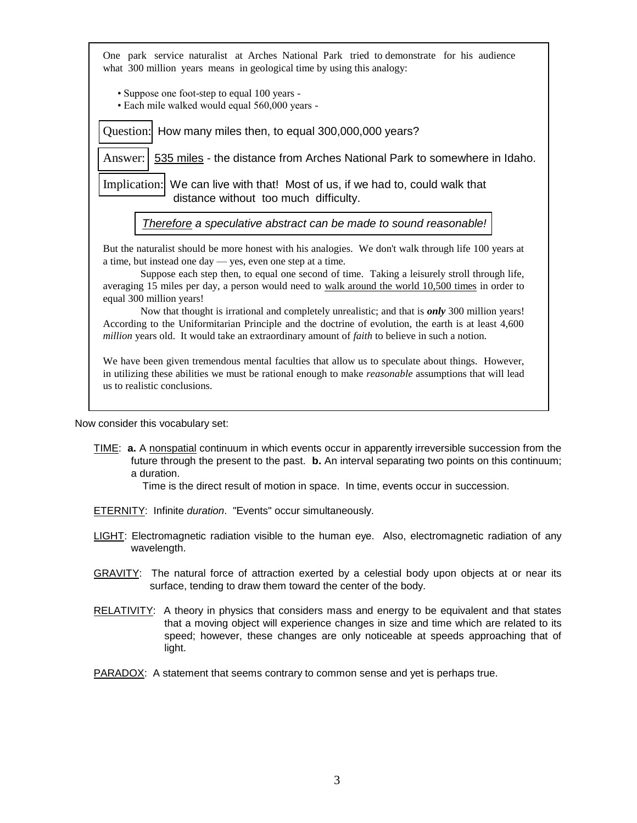| One park service naturalist at Arches National Park tried to demonstrate for his audience<br>what 300 million years means in geological time by using this analogy:                                                                                                                                                                                                      |  |  |  |  |  |  |  |
|--------------------------------------------------------------------------------------------------------------------------------------------------------------------------------------------------------------------------------------------------------------------------------------------------------------------------------------------------------------------------|--|--|--|--|--|--|--|
| • Suppose one foot-step to equal 100 years -<br>· Each mile walked would equal 560,000 years -                                                                                                                                                                                                                                                                           |  |  |  |  |  |  |  |
| Question: How many miles then, to equal 300,000,000 years?                                                                                                                                                                                                                                                                                                               |  |  |  |  |  |  |  |
| Answer: 535 miles - the distance from Arches National Park to somewhere in Idaho.                                                                                                                                                                                                                                                                                        |  |  |  |  |  |  |  |
| Implication: We can live with that! Most of us, if we had to, could walk that<br>distance without too much difficulty.                                                                                                                                                                                                                                                   |  |  |  |  |  |  |  |
| Therefore a speculative abstract can be made to sound reasonable!                                                                                                                                                                                                                                                                                                        |  |  |  |  |  |  |  |
| But the naturalist should be more honest with his analogies. We don't walk through life 100 years at<br>a time, but instead one day — yes, even one step at a time.<br>Suppose each step then, to equal one second of time. Taking a leisurely stroll through life,<br>averaging 15 miles per day, a person would need to walk around the world 10,500 times in order to |  |  |  |  |  |  |  |
| equal 300 million years!<br>Now that thought is irrational and completely unrealistic; and that is <i>only</i> 300 million years!                                                                                                                                                                                                                                        |  |  |  |  |  |  |  |
| According to the Uniformitarian Principle and the doctrine of evolution, the earth is at least 4,600<br>million years old. It would take an extraordinary amount of faith to believe in such a notion.                                                                                                                                                                   |  |  |  |  |  |  |  |
| We have been given tremendous mental faculties that allow us to speculate about things. However,<br>in utilizing these abilities we must be rational enough to make reasonable assumptions that will lead<br>us to realistic conclusions.                                                                                                                                |  |  |  |  |  |  |  |
|                                                                                                                                                                                                                                                                                                                                                                          |  |  |  |  |  |  |  |

Now consider this vocabulary set:

TIME: **a.** A nonspatial continuum in which events occur in apparently irreversible succession from the future through the present to the past. **b.** An interval separating two points on this continuum; a duration.

Time is the direct result of motion in space. In time, events occur in succession.

- ETERNITY: Infinite *duration*. "Events" occur simultaneously.
- LIGHT: Electromagnetic radiation visible to the human eye. Also, electromagnetic radiation of any wavelength.
- GRAVITY: The natural force of attraction exerted by a celestial body upon objects at or near its surface, tending to draw them toward the center of the body.
- RELATIVITY: A theory in physics that considers mass and energy to be equivalent and that states that a moving object will experience changes in size and time which are related to its speed; however, these changes are only noticeable at speeds approaching that of light.
- PARADOX: A statement that seems contrary to common sense and yet is perhaps true.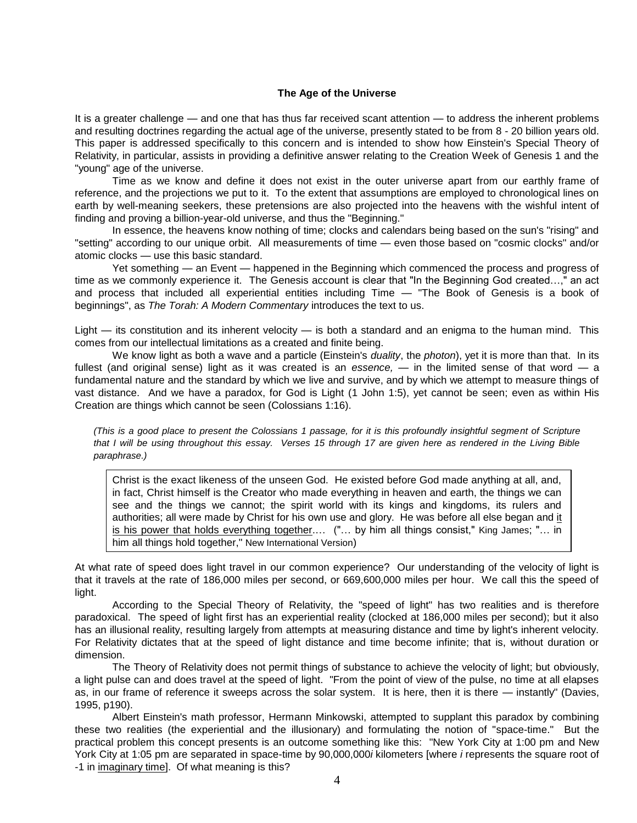#### **The Age of the Universe**

It is a greater challenge — and one that has thus far received scant attention — to address the inherent problems and resulting doctrines regarding the actual age of the universe, presently stated to be from 8 - 20 billion years old. This paper is addressed specifically to this concern and is intended to show how Einstein's Special Theory of Relativity, in particular, assists in providing a definitive answer relating to the Creation Week of Genesis 1 and the "young" age of the universe.

Time as we know and define it does not exist in the outer universe apart from our earthly frame of reference, and the projections we put to it. To the extent that assumptions are employed to chronological lines on earth by well-meaning seekers, these pretensions are also projected into the heavens with the wishful intent of finding and proving a billion-year-old universe, and thus the "Beginning."

In essence, the heavens know nothing of time; clocks and calendars being based on the sun's "rising" and "setting" according to our unique orbit. All measurements of time — even those based on "cosmic clocks" and/or atomic clocks — use this basic standard.

Yet something — an Event — happened in the Beginning which commenced the process and progress of time as we commonly experience it. The Genesis account is clear that "In the Beginning God created…," an act and process that included all experiential entities including Time — "The Book of Genesis is a book of beginnings", as *The Torah: A Modern Commentary* introduces the text to us.

Light — its constitution and its inherent velocity — is both a standard and an enigma to the human mind. This comes from our intellectual limitations as a created and finite being.

We know light as both a wave and a particle (Einstein's *duality*, the *photon*), yet it is more than that. In its fullest (and original sense) light as it was created is an *essence,* — in the limited sense of that word — a fundamental nature and the standard by which we live and survive, and by which we attempt to measure things of vast distance. And we have a paradox, for God is Light (1 John 1:5), yet cannot be seen; even as within His Creation are things which cannot be seen (Colossians 1:16).

*(This is a good place to present the Colossians 1 passage, for it is this profoundly insightful segment of Scripture that I will be using throughout this essay. Verses 15 through 17 are given here as rendered in the Living Bible paraphrase.)*

Christ is the exact likeness of the unseen God. He existed before God made anything at all, and, in fact, Christ himself is the Creator who made everything in heaven and earth, the things we can see and the things we cannot; the spirit world with its kings and kingdoms, its rulers and authorities; all were made by Christ for his own use and glory. He was before all else began and it is his power that holds everything together.… ("… by him all things consist," King James; "… in him all things hold together," New International Version)

At what rate of speed does light travel in our common experience? Our understanding of the velocity of light is that it travels at the rate of 186,000 miles per second, or 669,600,000 miles per hour. We call this the speed of light.

According to the Special Theory of Relativity, the "speed of light" has two realities and is therefore paradoxical. The speed of light first has an experiential reality (clocked at 186,000 miles per second); but it also has an illusional reality, resulting largely from attempts at measuring distance and time by light's inherent velocity. For Relativity dictates that at the speed of light distance and time become infinite; that is, without duration or dimension.

The Theory of Relativity does not permit things of substance to achieve the velocity of light; but obviously, a light pulse can and does travel at the speed of light. "From the point of view of the pulse, no time at all elapses as, in our frame of reference it sweeps across the solar system. It is here, then it is there — instantly" (Davies, 1995, p190).

Albert Einstein's math professor, Hermann Minkowski, attempted to supplant this paradox by combining these two realities (the experiential and the illusionary) and formulating the notion of "space-time." But the practical problem this concept presents is an outcome something like this: "New York City at 1:00 pm and New York City at 1:05 pm are separated in space-time by 90,000,000*i* kilometers [where *i* represents the square root of -1 in imaginary time]. Of what meaning is this?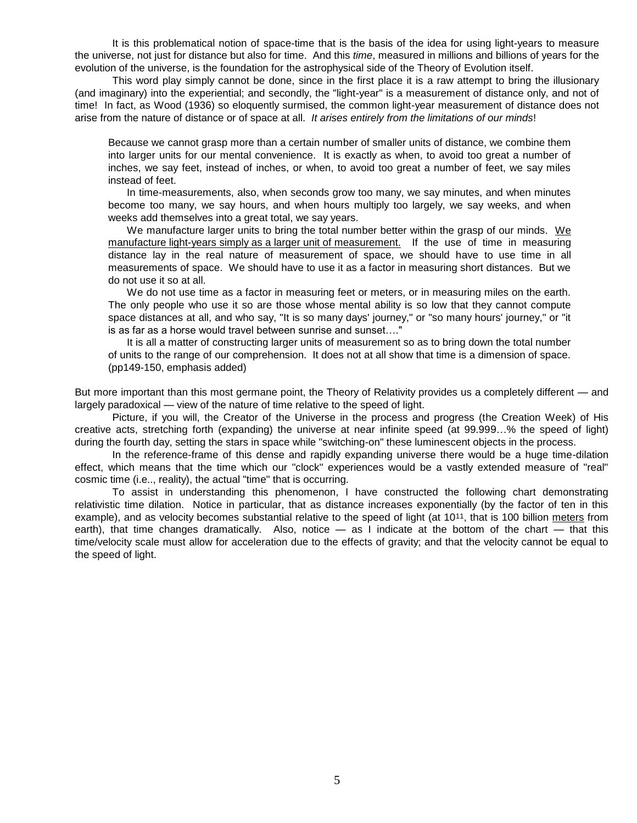It is this problematical notion of space-time that is the basis of the idea for using light-years to measure the universe, not just for distance but also for time. And this *time*, measured in millions and billions of years for the evolution of the universe, is the foundation for the astrophysical side of the Theory of Evolution itself.

This word play simply cannot be done, since in the first place it is a raw attempt to bring the illusionary (and imaginary) into the experiential; and secondly, the "light-year" is a measurement of distance only, and not of time! In fact, as Wood (1936) so eloquently surmised, the common light-year measurement of distance does not arise from the nature of distance or of space at all. *It arises entirely from the limitations of our minds*!

Because we cannot grasp more than a certain number of smaller units of distance, we combine them into larger units for our mental convenience. It is exactly as when, to avoid too great a number of inches, we say feet, instead of inches, or when, to avoid too great a number of feet, we say miles instead of feet.

In time-measurements, also, when seconds grow too many, we say minutes, and when minutes become too many, we say hours, and when hours multiply too largely, we say weeks, and when weeks add themselves into a great total, we say years.

We manufacture larger units to bring the total number better within the grasp of our minds. We manufacture light-years simply as a larger unit of measurement. If the use of time in measuring distance lay in the real nature of measurement of space, we should have to use time in all measurements of space. We should have to use it as a factor in measuring short distances. But we do not use it so at all.

We do not use time as a factor in measuring feet or meters, or in measuring miles on the earth. The only people who use it so are those whose mental ability is so low that they cannot compute space distances at all, and who say, "It is so many days' journey," or "so many hours' journey," or "it is as far as a horse would travel between sunrise and sunset…."

It is all a matter of constructing larger units of measurement so as to bring down the total number of units to the range of our comprehension. It does not at all show that time is a dimension of space. (pp149-150, emphasis added)

But more important than this most germane point, the Theory of Relativity provides us a completely different — and largely paradoxical — view of the nature of time relative to the speed of light.

Picture, if you will, the Creator of the Universe in the process and progress (the Creation Week) of His creative acts, stretching forth (expanding) the universe at near infinite speed (at 99.999…% the speed of light) during the fourth day, setting the stars in space while "switching-on" these luminescent objects in the process.

In the reference-frame of this dense and rapidly expanding universe there would be a huge time-dilation effect, which means that the time which our "clock" experiences would be a vastly extended measure of "real" cosmic time (i.e.., reality), the actual "time" that is occurring.

To assist in understanding this phenomenon, I have constructed the following chart demonstrating relativistic time dilation. Notice in particular, that as distance increases exponentially (by the factor of ten in this example), and as velocity becomes substantial relative to the speed of light (at 1011, that is 100 billion meters from earth), that time changes dramatically. Also, notice — as I indicate at the bottom of the chart — that this time/velocity scale must allow for acceleration due to the effects of gravity; and that the velocity cannot be equal to the speed of light.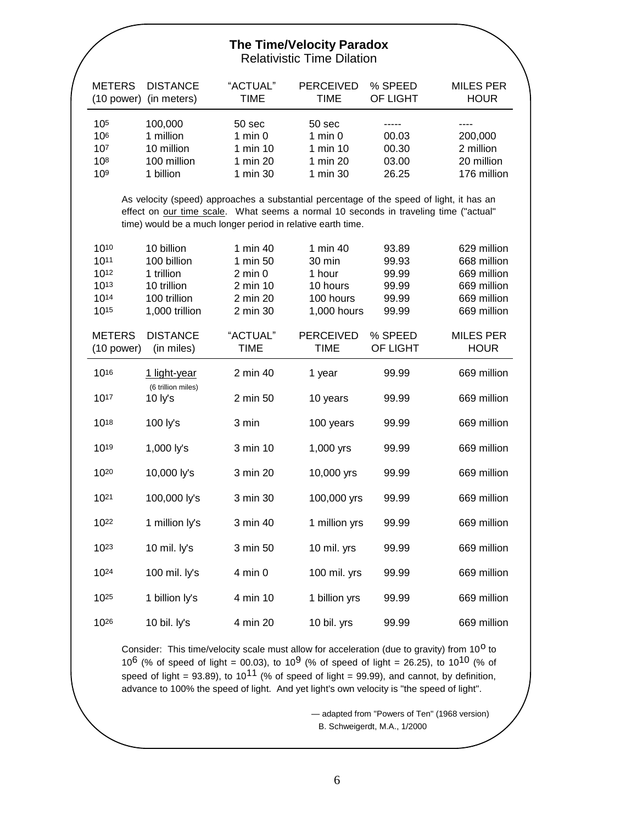## **The Time/Velocity Paradox** Relativistic Time Dilation

| <b>METERS</b>                                                                                                                                                                                                                                   | <b>DISTANCE</b><br>(10 power) (in meters) | "ACTUAL"<br><b>TIME</b> | <b>PERCEIVED</b><br><b>TIME</b> | % SPEED<br>OF LIGHT | <b>MILES PER</b><br><b>HOUR</b> |  |  |  |
|-------------------------------------------------------------------------------------------------------------------------------------------------------------------------------------------------------------------------------------------------|-------------------------------------------|-------------------------|---------------------------------|---------------------|---------------------------------|--|--|--|
|                                                                                                                                                                                                                                                 |                                           |                         |                                 |                     |                                 |  |  |  |
| 105<br>106                                                                                                                                                                                                                                      | 100,000<br>1 million                      | 50 sec<br>$1$ min $0$   | 50 sec<br>$1$ min $0$           | 00.03               | 200,000                         |  |  |  |
| 107                                                                                                                                                                                                                                             | 10 million                                | 1 min 10                | 1 min 10                        | 00.30               | 2 million                       |  |  |  |
| 108                                                                                                                                                                                                                                             | 100 million                               | 1 min 20                | 1 min 20                        | 03.00               | 20 million                      |  |  |  |
| 109                                                                                                                                                                                                                                             | 1 billion                                 | 1 min 30                | 1 min 30                        | 26.25               | 176 million                     |  |  |  |
| As velocity (speed) approaches a substantial percentage of the speed of light, it has an<br>effect on our time scale. What seems a normal 10 seconds in traveling time ("actual"<br>time) would be a much longer period in relative earth time. |                                           |                         |                                 |                     |                                 |  |  |  |
| 1010                                                                                                                                                                                                                                            | 10 billion                                | 1 min 40                | 1 min 40                        | 93.89               | 629 million                     |  |  |  |
| 1011                                                                                                                                                                                                                                            | 100 billion                               | 1 min 50                | 30 min                          | 99.93               | 668 million                     |  |  |  |
| 1012                                                                                                                                                                                                                                            | 1 trillion                                | $2 \text{ min } 0$      | 1 hour                          | 99.99               | 669 million                     |  |  |  |
| 1013                                                                                                                                                                                                                                            | 10 trillion                               | 2 min 10                | 10 hours                        | 99.99               | 669 million                     |  |  |  |
| 1014                                                                                                                                                                                                                                            | 100 trillion                              | 2 min 20                | 100 hours                       | 99.99               | 669 million                     |  |  |  |
| 1015                                                                                                                                                                                                                                            | 1,000 trillion                            | 2 min 30                | 1,000 hours                     | 99.99               | 669 million                     |  |  |  |
| <b>METERS</b><br>$(10$ power)                                                                                                                                                                                                                   | <b>DISTANCE</b><br>(in miles)             | "ACTUAL"<br><b>TIME</b> | <b>PERCEIVED</b><br><b>TIME</b> | % SPEED<br>OF LIGHT | <b>MILES PER</b><br><b>HOUR</b> |  |  |  |
|                                                                                                                                                                                                                                                 |                                           |                         |                                 |                     |                                 |  |  |  |
| 1016                                                                                                                                                                                                                                            | 1 light-year                              | 2 min 40                | 1 year                          | 99.99               | 669 million                     |  |  |  |
| 1017                                                                                                                                                                                                                                            | (6 trillion miles)<br>$10$ ly's           | 2 min 50                | 10 years                        | 99.99               | 669 million                     |  |  |  |
| 1018                                                                                                                                                                                                                                            | 100 ly's                                  | 3 min                   | 100 years                       | 99.99               | 669 million                     |  |  |  |
| 1019                                                                                                                                                                                                                                            | 1,000 ly's                                | 3 min 10                | 1,000 yrs                       | 99.99               | 669 million                     |  |  |  |
| 1020                                                                                                                                                                                                                                            | 10,000 ly's                               | 3 min 20                | 10,000 yrs                      | 99.99               | 669 million                     |  |  |  |
| 1021                                                                                                                                                                                                                                            | 100,000 ly's                              | 3 min 30                | 100,000 yrs                     | 99.99               | 669 million                     |  |  |  |
| 1022                                                                                                                                                                                                                                            | 1 million ly's                            | 3 min 40                | 1 million yrs                   | 99.99               | 669 million                     |  |  |  |
| 1023                                                                                                                                                                                                                                            | 10 mil. ly's                              | 3 min 50                | 10 mil. yrs                     | 99.99               | 669 million                     |  |  |  |
| 1024                                                                                                                                                                                                                                            | 100 mil. ly's                             | 4 min 0                 | 100 mil. yrs                    | 99.99               | 669 million                     |  |  |  |
| 1025                                                                                                                                                                                                                                            | 1 billion ly's                            | 4 min 10                | 1 billion yrs                   | 99.99               | 669 million                     |  |  |  |
| 1026                                                                                                                                                                                                                                            | 10 bil. ly's                              | 4 min 20                | 10 bil. yrs                     | 99.99               | 669 million                     |  |  |  |

Consider: This time/velocity scale must allow for acceleration (due to gravity) from 10<sup>0</sup> to 10<sup>6</sup> (% of speed of light = 00.03), to 10<sup>9</sup> (% of speed of light = 26.25), to 10<sup>10</sup> (% of speed of light = 93.89), to 10<sup>11</sup> (% of speed of light = 99.99), and cannot, by definition, advance to 100% the speed of light. And yet light's own velocity is "the speed of light".

> — adapted from "Powers of Ten" (1968 version) B. Schweigerdt, M.A., 1/2000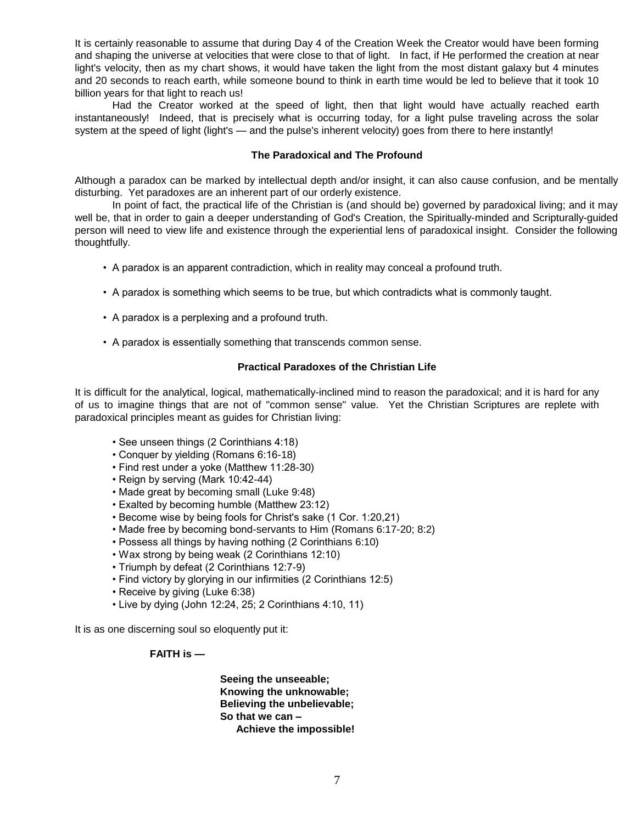It is certainly reasonable to assume that during Day 4 of the Creation Week the Creator would have been forming and shaping the universe at velocities that were close to that of light. In fact, if He performed the creation at near light's velocity, then as my chart shows, it would have taken the light from the most distant galaxy but 4 minutes and 20 seconds to reach earth, while someone bound to think in earth time would be led to believe that it took 10 billion years for that light to reach us!

Had the Creator worked at the speed of light, then that light would have actually reached earth instantaneously! Indeed, that is precisely what is occurring today, for a light pulse traveling across the solar system at the speed of light (light's — and the pulse's inherent velocity) goes from there to here instantly!

#### **The Paradoxical and The Profound**

Although a paradox can be marked by intellectual depth and/or insight, it can also cause confusion, and be mentally disturbing. Yet paradoxes are an inherent part of our orderly existence.

In point of fact, the practical life of the Christian is (and should be) governed by paradoxical living; and it may well be, that in order to gain a deeper understanding of God's Creation, the Spiritually-minded and Scripturally-guided person will need to view life and existence through the experiential lens of paradoxical insight. Consider the following thoughtfully.

- A paradox is an apparent contradiction, which in reality may conceal a profound truth.
- A paradox is something which seems to be true, but which contradicts what is commonly taught.
- A paradox is a perplexing and a profound truth.
- A paradox is essentially something that transcends common sense.

### **Practical Paradoxes of the Christian Life**

It is difficult for the analytical, logical, mathematically-inclined mind to reason the paradoxical; and it is hard for any of us to imagine things that are not of "common sense" value. Yet the Christian Scriptures are replete with paradoxical principles meant as guides for Christian living:

- See unseen things (2 Corinthians 4:18)
- Conquer by yielding (Romans 6:16-18)
- Find rest under a yoke (Matthew 11:28-30)
- Reign by serving (Mark 10:42-44)
- Made great by becoming small (Luke 9:48)
- Exalted by becoming humble (Matthew 23:12)
- Become wise by being fools for Christ's sake (1 Cor. 1:20,21)
- Made free by becoming bond-servants to Him (Romans 6:17-20; 8:2)
- Possess all things by having nothing (2 Corinthians 6:10)
- Wax strong by being weak (2 Corinthians 12:10)
- Triumph by defeat (2 Corinthians 12:7-9)
- Find victory by glorying in our infirmities (2 Corinthians 12:5)
- Receive by giving (Luke 6:38)
- Live by dying (John 12:24, 25; 2 Corinthians 4:10, 11)

It is as one discerning soul so eloquently put it:

## **FAITH is —**

**Seeing the unseeable; Knowing the unknowable; Believing the unbelievable; So that we can – Achieve the impossible!**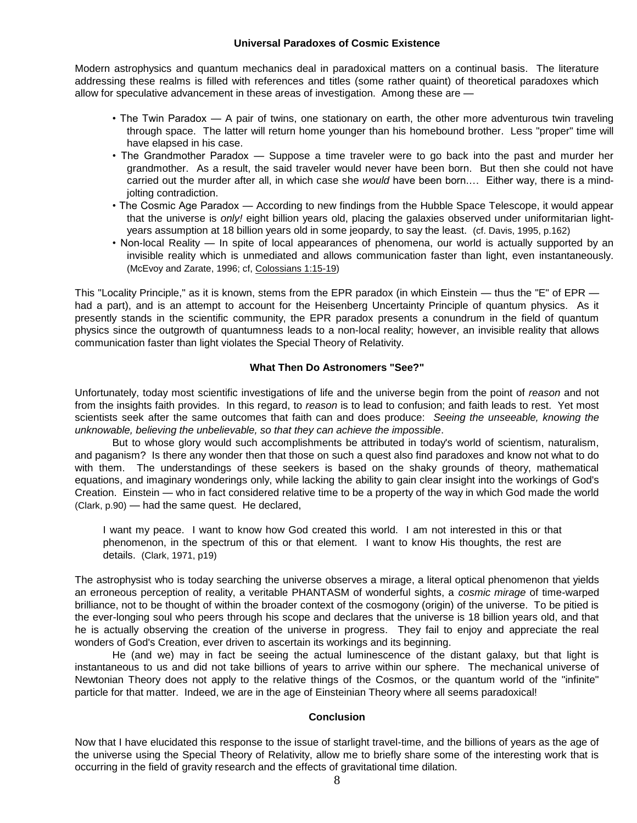#### **Universal Paradoxes of Cosmic Existence**

Modern astrophysics and quantum mechanics deal in paradoxical matters on a continual basis. The literature addressing these realms is filled with references and titles (some rather quaint) of theoretical paradoxes which allow for speculative advancement in these areas of investigation. Among these are —

- The Twin Paradox A pair of twins, one stationary on earth, the other more adventurous twin traveling through space. The latter will return home younger than his homebound brother. Less "proper" time will have elapsed in his case.
- The Grandmother Paradox Suppose a time traveler were to go back into the past and murder her grandmother. As a result, the said traveler would never have been born. But then she could not have carried out the murder after all, in which case she *would* have been born.… Either way, there is a mindjolting contradiction.
- The Cosmic Age Paradox According to new findings from the Hubble Space Telescope, it would appear that the universe is *only!* eight billion years old, placing the galaxies observed under uniformitarian lightyears assumption at 18 billion years old in some jeopardy, to say the least. (cf. Davis, 1995, p.162)
- Non-local Reality In spite of local appearances of phenomena, our world is actually supported by an invisible reality which is unmediated and allows communication faster than light, even instantaneously. (McEvoy and Zarate, 1996; cf, Colossians 1:15-19)

This "Locality Principle," as it is known, stems from the EPR paradox (in which Einstein — thus the "E" of EPR had a part), and is an attempt to account for the Heisenberg Uncertainty Principle of quantum physics. As it presently stands in the scientific community, the EPR paradox presents a conundrum in the field of quantum physics since the outgrowth of quantumness leads to a non-local reality; however, an invisible reality that allows communication faster than light violates the Special Theory of Relativity.

### **What Then Do Astronomers "See?"**

Unfortunately, today most scientific investigations of life and the universe begin from the point of *reason* and not from the insights faith provides. In this regard, to *reason* is to lead to confusion; and faith leads to rest. Yet most scientists seek after the same outcomes that faith can and does produce: *Seeing the unseeable, knowing the unknowable, believing the unbelievable, so that they can achieve the impossible*.

But to whose glory would such accomplishments be attributed in today's world of scientism, naturalism, and paganism? Is there any wonder then that those on such a quest also find paradoxes and know not what to do with them. The understandings of these seekers is based on the shaky grounds of theory, mathematical equations, and imaginary wonderings only, while lacking the ability to gain clear insight into the workings of God's Creation. Einstein — who in fact considered relative time to be a property of the way in which God made the world (Clark, p.90) — had the same quest. He declared,

I want my peace. I want to know how God created this world. I am not interested in this or that phenomenon, in the spectrum of this or that element. I want to know His thoughts, the rest are details. (Clark, 1971, p19)

The astrophysist who is today searching the universe observes a mirage, a literal optical phenomenon that yields an erroneous perception of reality, a veritable PHANTASM of wonderful sights, a *cosmic mirage* of time-warped brilliance, not to be thought of within the broader context of the cosmogony (origin) of the universe. To be pitied is the ever-longing soul who peers through his scope and declares that the universe is 18 billion years old, and that he is actually observing the creation of the universe in progress. They fail to enjoy and appreciate the real wonders of God's Creation, ever driven to ascertain its workings and its beginning.

He (and we) may in fact be seeing the actual luminescence of the distant galaxy, but that light is instantaneous to us and did not take billions of years to arrive within our sphere. The mechanical universe of Newtonian Theory does not apply to the relative things of the Cosmos, or the quantum world of the "infinite" particle for that matter. Indeed, we are in the age of Einsteinian Theory where all seems paradoxical!

## **Conclusion**

Now that I have elucidated this response to the issue of starlight travel-time, and the billions of years as the age of the universe using the Special Theory of Relativity, allow me to briefly share some of the interesting work that is occurring in the field of gravity research and the effects of gravitational time dilation.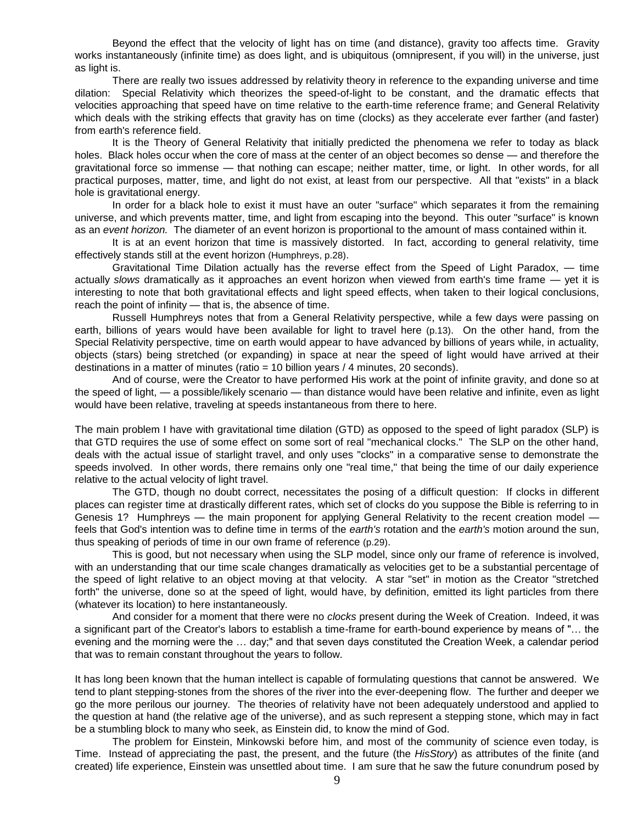Beyond the effect that the velocity of light has on time (and distance), gravity too affects time. Gravity works instantaneously (infinite time) as does light, and is ubiquitous (omnipresent, if you will) in the universe, just as light is.

There are really two issues addressed by relativity theory in reference to the expanding universe and time dilation: Special Relativity which theorizes the speed-of-light to be constant, and the dramatic effects that velocities approaching that speed have on time relative to the earth-time reference frame; and General Relativity which deals with the striking effects that gravity has on time (clocks) as they accelerate ever farther (and faster) from earth's reference field.

It is the Theory of General Relativity that initially predicted the phenomena we refer to today as black holes. Black holes occur when the core of mass at the center of an object becomes so dense — and therefore the gravitational force so immense — that nothing can escape; neither matter, time, or light. In other words, for all practical purposes, matter, time, and light do not exist, at least from our perspective. All that "exists" in a black hole is gravitational energy.

In order for a black hole to exist it must have an outer "surface" which separates it from the remaining universe, and which prevents matter, time, and light from escaping into the beyond. This outer "surface" is known as an *event horizon.* The diameter of an event horizon is proportional to the amount of mass contained within it.

It is at an event horizon that time is massively distorted. In fact, according to general relativity, time effectively stands still at the event horizon (Humphreys, p.28).

Gravitational Time Dilation actually has the reverse effect from the Speed of Light Paradox, — time actually *slows* dramatically as it approaches an event horizon when viewed from earth's time frame — yet it is interesting to note that both gravitational effects and light speed effects, when taken to their logical conclusions, reach the point of infinity — that is, the absence of time.

Russell Humphreys notes that from a General Relativity perspective, while a few days were passing on earth, billions of years would have been available for light to travel here (p.13). On the other hand, from the Special Relativity perspective, time on earth would appear to have advanced by billions of years while, in actuality, objects (stars) being stretched (or expanding) in space at near the speed of light would have arrived at their destinations in a matter of minutes (ratio = 10 billion years / 4 minutes, 20 seconds).

And of course, were the Creator to have performed His work at the point of infinite gravity, and done so at the speed of light, — a possible/likely scenario — than distance would have been relative and infinite, even as light would have been relative, traveling at speeds instantaneous from there to here.

The main problem I have with gravitational time dilation (GTD) as opposed to the speed of light paradox (SLP) is that GTD requires the use of some effect on some sort of real "mechanical clocks." The SLP on the other hand, deals with the actual issue of starlight travel, and only uses "clocks" in a comparative sense to demonstrate the speeds involved. In other words, there remains only one "real time," that being the time of our daily experience relative to the actual velocity of light travel.

The GTD, though no doubt correct, necessitates the posing of a difficult question: If clocks in different places can register time at drastically different rates, which set of clocks do you suppose the Bible is referring to in Genesis 1? Humphreys — the main proponent for applying General Relativity to the recent creation model feels that God's intention was to define time in terms of the *earth's* rotation and the *earth's* motion around the sun, thus speaking of periods of time in our own frame of reference (p.29).

This is good, but not necessary when using the SLP model, since only our frame of reference is involved, with an understanding that our time scale changes dramatically as velocities get to be a substantial percentage of the speed of light relative to an object moving at that velocity. A star "set" in motion as the Creator "stretched forth" the universe, done so at the speed of light, would have, by definition, emitted its light particles from there (whatever its location) to here instantaneously.

And consider for a moment that there were no *clocks* present during the Week of Creation. Indeed, it was a significant part of the Creator's labors to establish a time-frame for earth-bound experience by means of "… the evening and the morning were the … day;" and that seven days constituted the Creation Week, a calendar period that was to remain constant throughout the years to follow.

It has long been known that the human intellect is capable of formulating questions that cannot be answered. We tend to plant stepping-stones from the shores of the river into the ever-deepening flow. The further and deeper we go the more perilous our journey. The theories of relativity have not been adequately understood and applied to the question at hand (the relative age of the universe), and as such represent a stepping stone, which may in fact be a stumbling block to many who seek, as Einstein did, to know the mind of God.

The problem for Einstein, Minkowski before him, and most of the community of science even today, is Time. Instead of appreciating the past, the present, and the future (the *HisStory*) as attributes of the finite (and created) life experience, Einstein was unsettled about time. I am sure that he saw the future conundrum posed by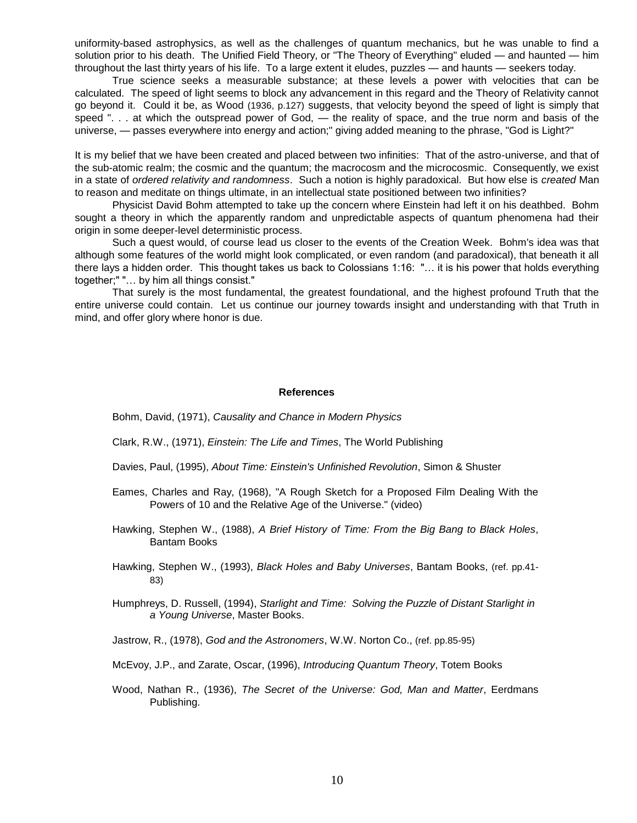uniformity-based astrophysics, as well as the challenges of quantum mechanics, but he was unable to find a solution prior to his death. The Unified Field Theory, or "The Theory of Everything" eluded — and haunted — him throughout the last thirty years of his life. To a large extent it eludes, puzzles — and haunts — seekers today.

True science seeks a measurable substance; at these levels a power with velocities that can be calculated. The speed of light seems to block any advancement in this regard and the Theory of Relativity cannot go beyond it. Could it be, as Wood (1936, p.127) suggests, that velocity beyond the speed of light is simply that speed ". . . at which the outspread power of God, — the reality of space, and the true norm and basis of the universe, — passes everywhere into energy and action;" giving added meaning to the phrase, "God is Light?"

It is my belief that we have been created and placed between two infinities: That of the astro-universe, and that of the sub-atomic realm; the cosmic and the quantum; the macrocosm and the microcosmic. Consequently, we exist in a state of *ordered relativity and randomness*. Such a notion is highly paradoxical. But how else is *created* Man to reason and meditate on things ultimate, in an intellectual state positioned between two infinities?

Physicist David Bohm attempted to take up the concern where Einstein had left it on his deathbed. Bohm sought a theory in which the apparently random and unpredictable aspects of quantum phenomena had their origin in some deeper-level deterministic process.

Such a quest would, of course lead us closer to the events of the Creation Week. Bohm's idea was that although some features of the world might look complicated, or even random (and paradoxical), that beneath it all there lays a hidden order. This thought takes us back to Colossians 1:16: "... it is his power that holds everything together;" "… by him all things consist."

That surely is the most fundamental, the greatest foundational, and the highest profound Truth that the entire universe could contain. Let us continue our journey towards insight and understanding with that Truth in mind, and offer glory where honor is due.

#### **References**

Bohm, David, (1971), *Causality and Chance in Modern Physics*

Clark, R.W., (1971), *Einstein: The Life and Times*, The World Publishing

- Davies, Paul, (1995), *About Time: Einstein's Unfinished Revolution*, Simon & Shuster
- Eames, Charles and Ray, (1968), "A Rough Sketch for a Proposed Film Dealing With the Powers of 10 and the Relative Age of the Universe." (video)
- Hawking, Stephen W., (1988), *A Brief History of Time: From the Big Bang to Black Holes*, Bantam Books
- Hawking, Stephen W., (1993), *Black Holes and Baby Universes*, Bantam Books, (ref. pp.41- 83)
- Humphreys, D. Russell, (1994), *Starlight and Time: Solving the Puzzle of Distant Starlight in a Young Universe*, Master Books.
- Jastrow, R., (1978), *God and the Astronomers*, W.W. Norton Co., (ref. pp.85-95)
- McEvoy, J.P., and Zarate, Oscar, (1996), *Introducing Quantum Theory*, Totem Books
- Wood, Nathan R., (1936), *The Secret of the Universe: God, Man and Matter*, Eerdmans Publishing.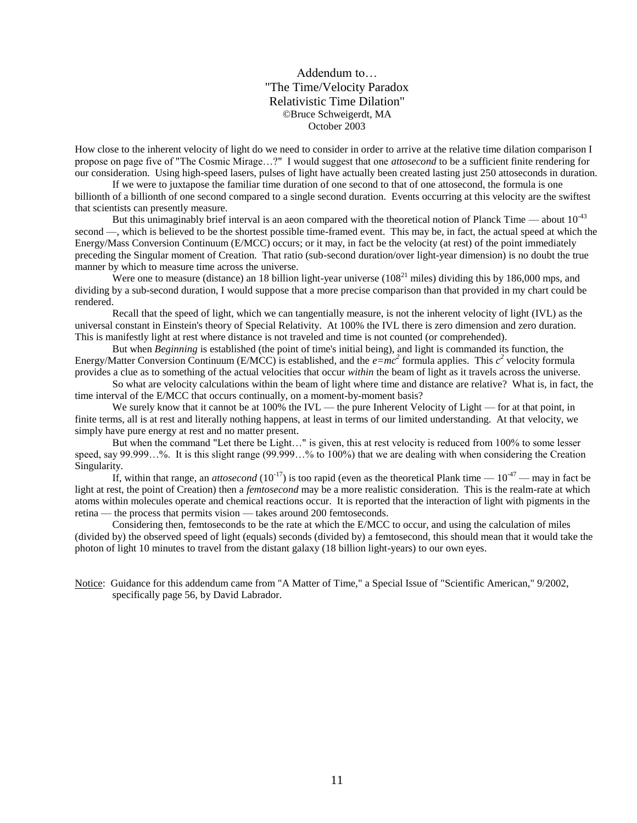Addendum to… "The Time/Velocity Paradox Relativistic Time Dilation" ©Bruce Schweigerdt, MA October 2003

How close to the inherent velocity of light do we need to consider in order to arrive at the relative time dilation comparison I propose on page five of "The Cosmic Mirage…?" I would suggest that one *attosecond* to be a sufficient finite rendering for our consideration. Using high-speed lasers, pulses of light have actually been created lasting just 250 attoseconds in duration.

If we were to juxtapose the familiar time duration of one second to that of one attosecond, the formula is one billionth of a billionth of one second compared to a single second duration. Events occurring at this velocity are the swiftest that scientists can presently measure.

But this unimaginably brief interval is an aeon compared with the theoretical notion of Planck Time — about  $10^{-43}$ second —, which is believed to be the shortest possible time-framed event. This may be, in fact, the actual speed at which the Energy/Mass Conversion Continuum (E/MCC) occurs; or it may, in fact be the velocity (at rest) of the point immediately preceding the Singular moment of Creation. That ratio (sub-second duration/over light-year dimension) is no doubt the true manner by which to measure time across the universe.

Were one to measure (distance) an 18 billion light-year universe  $(108<sup>21</sup>$  miles) dividing this by 186,000 mps, and dividing by a sub-second duration, I would suppose that a more precise comparison than that provided in my chart could be rendered.

Recall that the speed of light, which we can tangentially measure, is not the inherent velocity of light (IVL) as the universal constant in Einstein's theory of Special Relativity. At 100% the IVL there is zero dimension and zero duration. This is manifestly light at rest where distance is not traveled and time is not counted (or comprehended).

But when *Beginning* is established (the point of time's initial being), and light is commanded its function, the Energy/Matter Conversion Continuum (E/MCC) is established, and the  $e = mc^2$  formula applies. This  $c^2$  velocity formula provides a clue as to something of the actual velocities that occur *within* the beam of light as it travels across the universe.

So what are velocity calculations within the beam of light where time and distance are relative? What is, in fact, the time interval of the E/MCC that occurs continually, on a moment-by-moment basis?

We surely know that it cannot be at 100% the IVL — the pure Inherent Velocity of Light — for at that point, in finite terms, all is at rest and literally nothing happens, at least in terms of our limited understanding. At that velocity, we simply have pure energy at rest and no matter present.

But when the command "Let there be Light…" is given, this at rest velocity is reduced from 100% to some lesser speed, say 99.999…%. It is this slight range (99.999…% to 100%) that we are dealing with when considering the Creation Singularity.

If, within that range, an *attosecond* (10<sup>-17</sup>) is too rapid (even as the theoretical Plank time  $-10^{-47}$  — may in fact be light at rest, the point of Creation) then a *femtosecond* may be a more realistic consideration. This is the realm-rate at which atoms within molecules operate and chemical reactions occur. It is reported that the interaction of light with pigments in the retina — the process that permits vision — takes around 200 femtoseconds.

Considering then, femtoseconds to be the rate at which the E/MCC to occur, and using the calculation of miles (divided by) the observed speed of light (equals) seconds (divided by) a femtosecond, this should mean that it would take the photon of light 10 minutes to travel from the distant galaxy (18 billion light-years) to our own eyes.

Notice: Guidance for this addendum came from "A Matter of Time," a Special Issue of "Scientific American," 9/2002, specifically page 56, by David Labrador.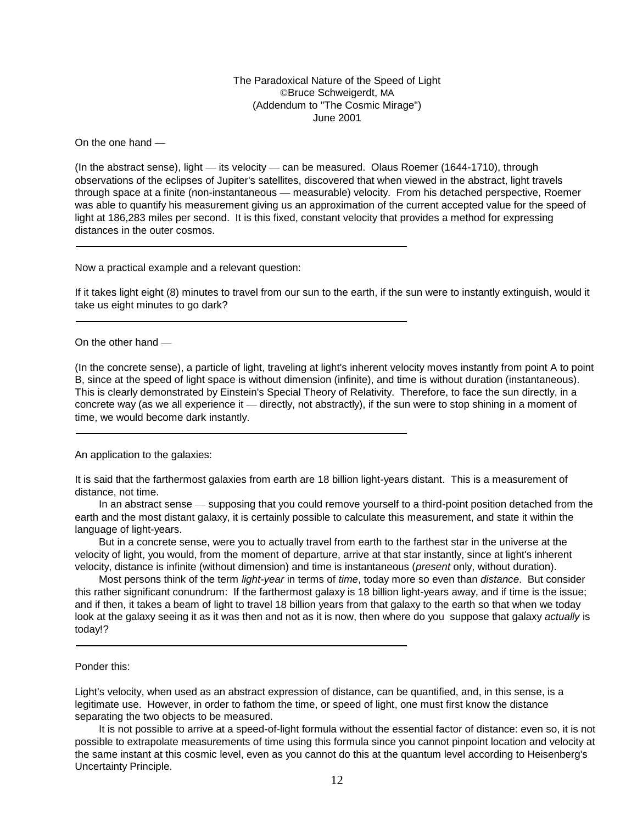The Paradoxical Nature of the Speed of Light ©Bruce Schweigerdt, MA (Addendum to "The Cosmic Mirage") June 2001

On the one hand —

(In the abstract sense), light — its velocity — can be measured. Olaus Roemer (1644-1710), through observations of the eclipses of Jupiter's satellites, discovered that when viewed in the abstract, light travels through space at a finite (non-instantaneous — measurable) velocity. From his detached perspective, Roemer was able to quantify his measurement giving us an approximation of the current accepted value for the speed of light at 186,283 miles per second. It is this fixed, constant velocity that provides a method for expressing distances in the outer cosmos.

Now a practical example and a relevant question:

If it takes light eight (8) minutes to travel from our sun to the earth, if the sun were to instantly extinguish, would it take us eight minutes to go dark?

#### On the other hand —

(In the concrete sense), a particle of light, traveling at light's inherent velocity moves instantly from point A to point B, since at the speed of light space is without dimension (infinite), and time is without duration (instantaneous). This is clearly demonstrated by Einstein's Special Theory of Relativity. Therefore, to face the sun directly, in a concrete way (as we all experience it — directly, not abstractly), if the sun were to stop shining in a moment of time, we would become dark instantly.

An application to the galaxies:

It is said that the farthermost galaxies from earth are 18 billion light-years distant. This is a measurement of distance, not time.

In an abstract sense — supposing that you could remove yourself to a third-point position detached from the earth and the most distant galaxy, it is certainly possible to calculate this measurement, and state it within the language of light-years.

But in a concrete sense, were you to actually travel from earth to the farthest star in the universe at the velocity of light, you would, from the moment of departure, arrive at that star instantly, since at light's inherent velocity, distance is infinite (without dimension) and time is instantaneous (*present* only, without duration).

Most persons think of the term *light-year* in terms of *time*, today more so even than *distance*. But consider this rather significant conundrum: If the farthermost galaxy is 18 billion light-years away, and if time is the issue; and if then, it takes a beam of light to travel 18 billion years from that galaxy to the earth so that when we today look at the galaxy seeing it as it was then and not as it is now, then where do you suppose that galaxy *actually* is today!?

#### Ponder this:

Light's velocity, when used as an abstract expression of distance, can be quantified, and, in this sense, is a legitimate use. However, in order to fathom the time, or speed of light, one must first know the distance separating the two objects to be measured.

It is not possible to arrive at a speed-of-light formula without the essential factor of distance: even so, it is not possible to extrapolate measurements of time using this formula since you cannot pinpoint location and velocity at the same instant at this cosmic level, even as you cannot do this at the quantum level according to Heisenberg's Uncertainty Principle.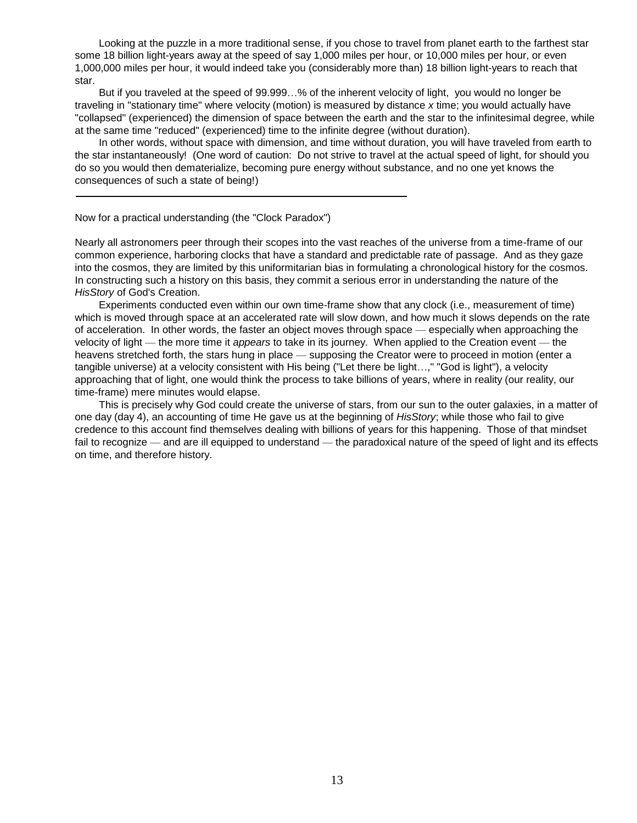Looking at the puzzle in a more traditional sense, if you chose to travel from planet earth to the farthest star some 18 billion light-years away at the speed of say 1,000 miles per hour, or 10,000 miles per hour, or even 1,000,000 miles per hour, it would indeed take you (considerably more than) 18 billion light-years to reach that star.

But if you traveled at the speed of 99.999…% of the inherent velocity of light, you would no longer be traveling in "stationary time" where velocity (motion) is measured by distance *x* time; you would actually have "collapsed" (experienced) the dimension of space between the earth and the star to the infinitesimal degree, while at the same time "reduced" (experienced) time to the infinite degree (without duration).

In other words, without space with dimension, and time without duration, you will have traveled from earth to the star instantaneously! (One word of caution: Do not strive to travel at the actual speed of light, for should you do so you would then dematerialize, becoming pure energy without substance, and no one yet knows the consequences of such a state of being!)

Now for a practical understanding (the "Clock Paradox")

Nearly all astronomers peer through their scopes into the vast reaches of the universe from a time-frame of our common experience, harboring clocks that have a standard and predictable rate of passage. And as they gaze into the cosmos, they are limited by this uniformitarian bias in formulating a chronological history for the cosmos. In constructing such a history on this basis, they commit a serious error in understanding the nature of the *HisStory* of God's Creation.

Experiments conducted even within our own time-frame show that any clock (i.e., measurement of time) which is moved through space at an accelerated rate will slow down, and how much it slows depends on the rate of acceleration. In other words, the faster an object moves through space — especially when approaching the velocity of light — the more time it *appears* to take in its journey. When applied to the Creation event — the heavens stretched forth, the stars hung in place — supposing the Creator were to proceed in motion (enter a tangible universe) at a velocity consistent with His being ("Let there be light…," "God is light"), a velocity approaching that of light, one would think the process to take billions of years, where in reality (our reality, our time-frame) mere minutes would elapse.

This is precisely why God could create the universe of stars, from our sun to the outer galaxies, in a matter of one day (day 4), an accounting of time He gave us at the beginning of *HisStory*; while those who fail to give credence to this account find themselves dealing with billions of years for this happening. Those of that mindset fail to recognize — and are ill equipped to understand — the paradoxical nature of the speed of light and its effects on time, and therefore history.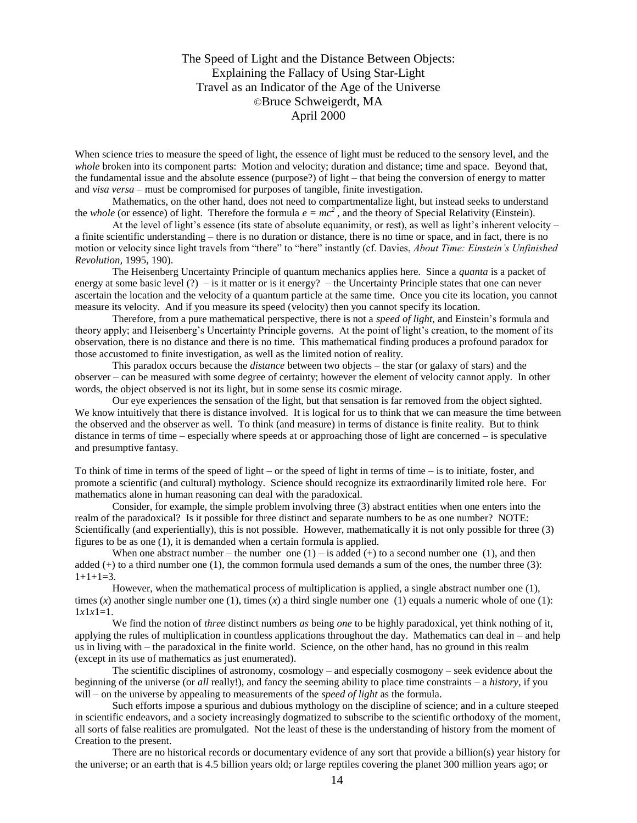The Speed of Light and the Distance Between Objects: Explaining the Fallacy of Using Star-Light Travel as an Indicator of the Age of the Universe ©Bruce Schweigerdt, MA April 2000

When science tries to measure the speed of light, the essence of light must be reduced to the sensory level, and the *whole* broken into its component parts: Motion and velocity; duration and distance; time and space. Beyond that, the fundamental issue and the absolute essence (purpose?) of light – that being the conversion of energy to matter and *visa versa* – must be compromised for purposes of tangible, finite investigation.

Mathematics, on the other hand, does not need to compartmentalize light, but instead seeks to understand the *whole* (or essence) of light. Therefore the formula  $e = mc^2$ , and the theory of Special Relativity (Einstein).

At the level of light's essence (its state of absolute equanimity, or rest), as well as light's inherent velocity – a finite scientific understanding – there is no duration or distance, there is no time or space, and in fact, there is no motion or velocity since light travels from "there" to "here" instantly (cf. Davies, *About Time: Einstein's Unfinished Revolution,* 1995, 190).

The Heisenberg Uncertainty Principle of quantum mechanics applies here. Since a *quanta* is a packet of energy at some basic level  $(?) -$  is it matter or is it energy? – the Uncertainty Principle states that one can never ascertain the location and the velocity of a quantum particle at the same time. Once you cite its location, you cannot measure its velocity. And if you measure its speed (velocity) then you cannot specify its location.

Therefore, from a pure mathematical perspective, there is not a *speed of light*, and Einstein's formula and theory apply; and Heisenberg's Uncertainty Principle governs. At the point of light's creation, to the moment of its observation, there is no distance and there is no time. This mathematical finding produces a profound paradox for those accustomed to finite investigation, as well as the limited notion of reality.

This paradox occurs because the *distance* between two objects – the star (or galaxy of stars) and the observer – can be measured with some degree of certainty; however the element of velocity cannot apply. In other words, the object observed is not its light, but in some sense its cosmic mirage.

Our eye experiences the sensation of the light, but that sensation is far removed from the object sighted. We know intuitively that there is distance involved. It is logical for us to think that we can measure the time between the observed and the observer as well. To think (and measure) in terms of distance is finite reality. But to think distance in terms of time – especially where speeds at or approaching those of light are concerned – is speculative and presumptive fantasy.

To think of time in terms of the speed of light – or the speed of light in terms of time – is to initiate, foster, and promote a scientific (and cultural) mythology. Science should recognize its extraordinarily limited role here. For mathematics alone in human reasoning can deal with the paradoxical.

Consider, for example, the simple problem involving three (3) abstract entities when one enters into the realm of the paradoxical? Is it possible for three distinct and separate numbers to be as one number? NOTE: Scientifically (and experientially), this is not possible. However, mathematically it is not only possible for three (3) figures to be as one (1), it is demanded when a certain formula is applied.

When one abstract number – the number one  $(1)$  – is added  $(+)$  to a second number one  $(1)$ , and then added (+) to a third number one (1), the common formula used demands a sum of the ones, the number three (3):  $1+1+1=3$ .

However, when the mathematical process of multiplication is applied, a single abstract number one (1), times  $(x)$  another single number one (1), times  $(x)$  a third single number one (1) equals a numeric whole of one (1):  $1x1x1=1.$ 

We find the notion of *three* distinct numbers *as* being *one* to be highly paradoxical, yet think nothing of it, applying the rules of multiplication in countless applications throughout the day. Mathematics can deal in – and help us in living with – the paradoxical in the finite world. Science, on the other hand, has no ground in this realm (except in its use of mathematics as just enumerated).

The scientific disciplines of astronomy, cosmology – and especially cosmogony – seek evidence about the beginning of the universe (or *all* really!), and fancy the seeming ability to place time constraints – a *history*, if you will – on the universe by appealing to measurements of the *speed of light* as the formula.

Such efforts impose a spurious and dubious mythology on the discipline of science; and in a culture steeped in scientific endeavors, and a society increasingly dogmatized to subscribe to the scientific orthodoxy of the moment, all sorts of false realities are promulgated. Not the least of these is the understanding of history from the moment of Creation to the present.

There are no historical records or documentary evidence of any sort that provide a billion(s) year history for the universe; or an earth that is 4.5 billion years old; or large reptiles covering the planet 300 million years ago; or